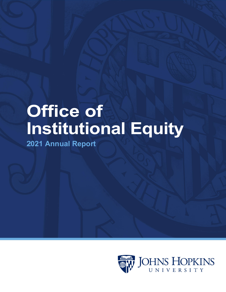# **Office of Institutional Equity**

**2021 Annual Report**

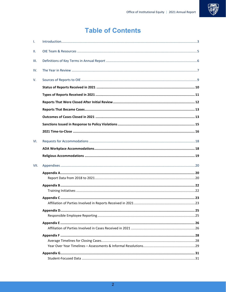

## **Table of Contents**

| T.   |  |
|------|--|
| Ш.   |  |
| Ш.   |  |
| IV.  |  |
| V.   |  |
|      |  |
|      |  |
|      |  |
|      |  |
|      |  |
|      |  |
|      |  |
| VI.  |  |
|      |  |
|      |  |
| VII. |  |
|      |  |
|      |  |
|      |  |
|      |  |
|      |  |
|      |  |
|      |  |
|      |  |
|      |  |
|      |  |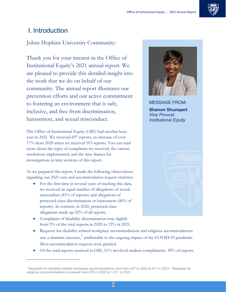

### <span id="page-2-0"></span>I. Introduction

Johns Hopkins University Community:

Thank you for your interest in the Office of Institutional Equity's 2021 annual report. We are pleased to provide this detailed insight into the work that we do on behalf of our community. The annual report illustrates our prevention efforts and our active commitment to fostering an environment that is safe, inclusive, and free from discrimination, harassment, and sexual misconduct.

The Office of Institutional Equity (OIE) had another busy year in 2021. We received 697 reports, an increase of over 17% from 2020 when we received 593 reports. You can read more about the types of complaints we received, the various resolutions implemented, and the time frames for investigations in later sections of this report.

As we prepared this report, I made the following observations regarding our 2021 case and accommodation request statistics:

- For the first time in several years of tracking this data, we received an equal number of allegations of sexual misconduct (41% of reports) and allegations of protected-class discrimination or harassment (40% of reports). In contrast, in 2020, protected-class allegations made up 52% of all reports.
- Complaints of disability discrimination rose slightly from 9% of the total reports in 2020 to 12% in 2021.

- Requests for disability-related workplace accommodations and religious accommodations saw a dramatic increase,<sup>[1](#page-2-1)</sup> attributable to the ongoing impact of the COVID-19 pandemic. Most accommodation requests were granted.
- Of the total reports received in OIE, 51% involved student complainants. 59% of reports



MESSAGE FROM: **Shanon Shumpert** *Vice Provost Institutional Equity*

<span id="page-2-1"></span><sup>1</sup> Requests for disability-related workplace accommodations rose from 337 in 2020 to 417 in 2021. Requests for religious accommodations increased from 275 in 2020 to 1,011 in 2021.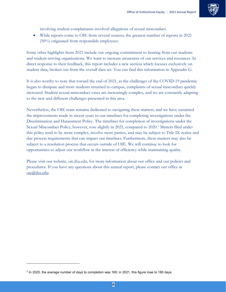

involving student complainants involved allegations of sexual misconduct.

• While reports come to OIE from several sources, the greatest number of reports in 2021 (50%) originated from responsible employees.

Some other highlights from 2021 include our ongoing commitment to hearing from our students and student-serving organizations. We want to increase awareness of our services and resources. In direct response to their feedback, this report includes a new section which focuses exclusively on student data, broken out from the overall data set. You can find this information in Appendix G.

It is also worthy to note that toward the end of 2021, as the challenges of the COVID-19 pandemic began to dissipate and more students returned to campus, complaints of sexual misconduct quickly increased. Student sexual misconduct cases are increasingly complex, and we are constantly adapting to the new and different challenges presented in this area.

Nevertheless, the OIE team remains dedicated to navigating these matters, and we have sustained the improvements made in recent years to our timelines for completing investigations under the Discrimination and Harassment Policy. The timelines for completion of investigations under the Sexual Misconduct Policy, however, rose slightly in [2](#page-3-0)021, compared to 2020.<sup>2</sup> Matters filed under this policy tend to be more complex, involve more parties, and may be subject to Title IX notice and due process requirements that can impact our timelines. Furthermore, these matters may also be subject to a resolution process that occurs outside of OIE. We will continue to look for opportunities to adjust our workflow in the interest of efficiency while maintaining quality.

Please visit our website, [oie.jhu.edu, f](http://oie.jhu.edu/)or more information about our office and our policies and procedures. If you have any questions about this annual report, please contact our office at [oie@jhu.edu.](mailto:oie@jhu.edu)

<span id="page-3-0"></span> $2$  In 2020, the average number of days to completion was 165; in 2021, this figure rose to 180 days.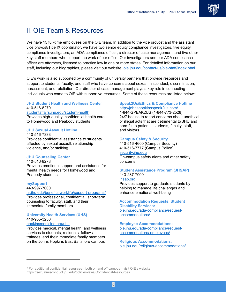

### <span id="page-4-0"></span>II. OIE Team & Resources

We have 15 full-time employees on the OIE team. In addition to the vice provost and the assistant vice provost/Title IX coordinator, we have two senior equity compliance investigators, five equity compliance investigators, an ADA compliance officer, a director of case management, and five other key staff members who support the work of our office. Our investigators and our ADA compliance officer are attorneys, licensed to practice law in one or more states. For detailed information on our staff, including our biographies, please visit our website[: oie.jhu.edu/contact-us/oie-staff/index.html](https://oie.jhu.edu/contact-us/oie-staff/index.html)

OIE's work is also supported by a community of university partners that provide resources and support to students, faculty, and staff who have concerns about sexual misconduct, discrimination, harassment, and retaliation. Our director of case management plays a key role in connecting individuals who come to OIE with supportive resources. Some of these resources are listed below:<sup>[3](#page-4-1)</sup>

#### **JHU Student Health and Wellness Center** 410-516-8270

#### [studentaffairs.jhu.edu/student-health](https://studentaffairs.jhu.edu/student-health/)

Provides high-quality, confidential health care to Homewood and Peabody students

#### **JHU Sexual Assault Hotline**

410-516-7333 Provides confidential assistance to students affected by sexual assault, relationship violence, and/or stalking

#### **JHU Counseling Center**

410-516-8278 Provides emotional support and assistance for mental health needs for Homewood and Peabody students

#### **mySupport**

 $\ddot{ }$ 

#### 443-997-7000

[hr.jhu.edu/benefits-worklife/support-programs/](https://hr.jhu.edu/benefits-worklife/support-programs/) Provides professional, confidential, short-term counseling to faculty, staff, and their immediate family members

#### **University Health Services (UHS)** 410-955-3250

#### [hopkinsmedicine.org/uhs](https://www.hopkinsmedicine.org/uhs)

Provides medical, mental health, and wellness services to students, residents, fellows, trainees, and their immediate family members on the Johns Hopkins East Baltimore campus

#### **Speak2Us/Ethics & Compliance Hotline** <http://johnshopkinsspeak2us.com/>

1-844-SPEAK2US (1-844-773-2528) 24/7 hotline to report concerns about unethical or illegal acts that are detrimental to JHU and harmful to patients, students, faculty, staff, and visitors

#### **Campus Safety & Security**

410-516-4600 (Campus Security) 410-516-7777 (Campus Police) [security.jhu.edu](https://security.jhu.edu/) On-campus safety alerts and other safety concerns

#### **Student Assistance Program (JHSAP)** 443-287-7000

#### [jhsap.org](https://jhsap.org/)

Provides support to graduate students by helping to manage life challenges and enhance emotional well-being

#### **Accommodation Requests, Student Disability Services:** [oie.jhu.edu/ada-compliance/request](https://oie.jhu.edu/ada-compliance/request-accommodations/)[accommodations/](https://oie.jhu.edu/ada-compliance/request-accommodations/)

**Employee Accommodations:** [oie.jhu.edu/ada-compliance/request](https://oie.jhu.edu/ada-compliance/request-accommodations-employees/)[accommodations-employees/](https://oie.jhu.edu/ada-compliance/request-accommodations-employees/)

**Religious Accommodations:** [oie.jhu.edu/religious-accommodations/](https://oie.jhu.edu/religious-accommodations/)

<span id="page-4-1"></span><sup>3</sup> For additional confidential resources—both on and off campus—visit OIE's website: https://sexualmisconduct.jhu.edu/policies-laws/Confidential-Resources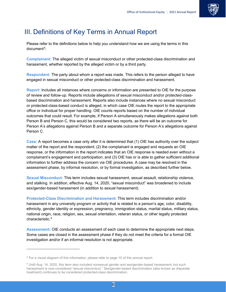

### <span id="page-5-0"></span>III. Definitions of Key Terms in Annual Report

Please refer to the definitions below to help you understand how we are using the terms in this document[4:](#page-5-1)

**Complainant:** The alleged victim of sexual misconduct or other protected-class discrimination and harassment, whether reported by the alleged victim or by a third party.

**Respondent:** The party about whom a report was made. This refers to the person alleged to have engaged in sexual misconduct or other protected-class discrimination and harassment.

**Report:** Includes all instances where concerns or information are presented to OIE for the purpose of review and follow-up. Reports include allegations of sexual misconduct and/or protected-classbased discrimination and harassment. Reports also include instances where no sexual misconduct or protected-class-based conduct is alleged, in which case OIE routes the report to the appropriate office or individual for proper handling. OIE counts reports based on the number of individual outcomes that could result. For example, if Person A simultaneously makes allegations against both Person B and Person C, this would be considered two reports, as there will be an outcome for Person A's allegations against Person B and a separate outcome for Person A's allegations against Person C.

**Case:** A report becomes a case only after it is determined that (1) OIE has authority over the subject matter of the report and the respondent; (2) the complainant is engaged and requests an OIE response, or the information in the report indicates that an OIE response is needed even without a complainant's engagement and participation; and (3) OIE has or is able to gather sufficient additional information to further address the concern via OIE procedures. A case may be resolved in the assessment phase, by informal resolution, or by formal investigation, as described further below.

**Sexual Misconduct:** This term includes sexual harassment, sexual assault, relationship violence, and stalking. In addition, effective Aug. 14, 2020, "sexual misconduct" was broadened to include sex/gender-based harassment (in addition to sexual harassment).

**Protected-Class Discrimination and Harassment:** This term includes discrimination and/or harassment in any university program or activity that is related to a person's age, color, disability, ethnicity, gender identity or expression, pregnancy, immigration status, marital status, military status, national origin, race, religion, sex, sexual orientation, veteran status, or other legally protected characteristic.<sup>[5](#page-5-2)</sup>

**Assessment:** OIE conducts an assessment of each case to determine the appropriate next steps. Some cases are closed in the assessment phase if they do not meet the criteria for a formal OIE investigation and/or if an informal resolution is not appropriate.

<span id="page-5-1"></span><sup>&</sup>lt;sup>4</sup> For a visual diagram of this information, please refer to page 10 of this annual report.

<span id="page-5-2"></span><sup>5</sup> Until Aug. 14, 2020, this term also included nonsexual gender and sex/gender-based harassment, but such harassment is now considered "sexual misconduct." Sex/gender-based discrimination (also known as disparate treatment) continues to be considered protected-class discrimination.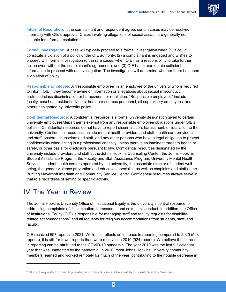

**Informal Resolution:** If the complainant and respondent agree, certain cases may be resolved informally with OIE's approval. Cases involving allegations of sexual assault are generally not suitable for informal resolution.

**Formal Investigation:** A case will typically proceed to a formal investigation when (1) it could constitute a violation of a policy under OIE authority; (2) a complainant is engaged and wishes to proceed with formal investigation (or, in rare cases, when OIE has a responsibility to take further action even without the complainant's agreement); and (3) OIE has or can obtain sufficient information to proceed with an investigation. The investigation will determine whether there has been a violation of policy.

**Responsible Employee:** A "responsible employee" is an employee of the university who is required to inform OIE if they become aware of information or allegations about sexual misconduct, protected-class discrimination or harassment, or retaliation. "Responsible employees" include faculty, coaches, resident advisers, human resources personnel, all supervisory employees, and others designated by university policy.

**Confidential Resource:** A confidential resource is a formal university designation given to certain university employees/departments exempt from any responsible employee obligations under OIE's policies. Confidential resources do not have to report discrimination, harassment, or retaliation to the university. Confidential resources include mental health providers and staff, health care providers and staff, pastoral counselors and staff, and any other persons who have a legal obligation to protect confidentiality when acting in a professional capacity unless there is an imminent threat to health or safety, or other basis for disclosure pursuant to law. Confidential resources designated by the university include providers and staff at the Johns Hopkins Counseling Center, the Johns Hopkins Student Assistance Program, the Faculty and Staff Assistance Program, University Mental Health Services, student health centers operated by the university, the associate director of student wellbeing, the gender violence prevention and education specialist, as well as chaplains and staff at the Bunting Meyerhoff Interfaith and Community Service Center. Confidential resources always serve in that role regardless of setting or specific activity.

### <span id="page-6-0"></span>IV. The Year in Review

 $\ddot{ }$ 

The Johns Hopkins University Office of Institutional Equity is the university's central resource for addressing complaints of discrimination, harassment, and sexual misconduct. In addition, the Office of Institutional Equity (OIE) is responsible for managing staff and faculty requests for disabilityrelated accommodations $<sup>6</sup>$  $<sup>6</sup>$  $<sup>6</sup>$  and all requests for religious accommodations from students, staff, and</sup> faculty.

OIE received 697 reports in 2021. While this reflects an increase in reporting compared to 2020 (593 reports), it is still far fewer reports than were received in 2019 (924 reports). We believe these trends in reporting can be attributed to the COVID-19 pandemic. The year 2019 was the last full calendar year that was unaffected by the pandemic. In 2020, most Johns Hopkins University community members learned and worked remotely for much of the year, contributing to the notable decrease in

<span id="page-6-1"></span><sup>&</sup>lt;sup>6</sup> Student requests for disability-related accommodations are handled by Student Disability Services.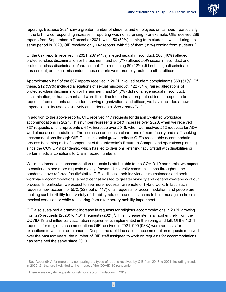

reporting. Because 2021 saw a greater number of students and employees on campus—particularly in the fall —a corresponding increase in reporting was not surprising. For example, OIE received 286 reports from September to December 2021, with 150 (52%) coming from students, while during the same period in 2020, OIE received only 142 reports, with 55 of them (39%) coming from students.<sup>7</sup>

Of the 697 reports received in 2021, 287 (41%) alleged sexual misconduct, 280 (40%) alleged protected-class discrimination or harassment, and 50 (7%) alleged *both* sexual misconduct and protected-class discrimination/harassment. The remaining 80 (12%) did not allege discrimination, harassment, or sexual misconduct; these reports were promptly routed to other offices.

Approximately half of the 697 reports received in 2021 involved student complainants 358 (51%). Of these, 212 (59%) included allegations of sexual misconduct, 122 (34%) raised allegations of protected-class discrimination or harassment, and 24 (7%) did not allege sexual misconduct, discrimination, or harassment and were thus directed to the appropriate office. In response to requests from students and student-serving organizations and offices, we have included a new appendix that focuses exclusively on student data. *See Appendix G.*

In addition to the above reports, OIE received 417 requests for disability-related workplace accommodations in 2021. This number represents a 24% increase over 2020, when we received 337 requests, and it represents a 65% increase over 2019, when we received 252 requests for ADA workplace accommodations. The increase continues a clear trend of more faculty and staff seeking accommodations through OIE. This substantial growth reflects OIE's reasonable accommodation process becoming a chief component of the university's Return to Campus and operations planning since the COVID-19 pandemic, which has led to divisions referring faculty/staff with disabilities or certain medical conditions to OIE in record numbers.

While the increase in accommodation requests is attributable to the COVID-19 pandemic, we expect to continue to see more requests moving forward. University communications throughout the pandemic have referred faculty/staff to OIE to discuss their individual circumstances and seek workplace accommodations, a practice that has led to greater visibility and general awareness of our process. In particular, we expect to see more requests for remote or hybrid work. In fact, such requests now account for 55% (229 out of 417) of all requests for accommodation, and people are seeking such flexibility for a variety of disability-related reasons, such as to help manage a chronic medical condition or while recovering from a temporary mobility impairment.

OIE also sustained a dramatic increase in requests for religious accommodations in 2021, growing from 275 requests (2020) to 1,011 requests (2021)<sup>8</sup>. This increase stems almost entirely from the COVID-19 and influenza vaccination requirements implemented in the spring and fall. Of the 1,011 requests for religious accommodations OIE received in 2021, 990 (98%) were requests for exceptions to vaccine requirements. Despite the rapid increase in accommodation requests received over the past two years, the number of OIE staff assigned to work on requests for accommodations has remained the same since 2019.

<span id="page-7-0"></span><sup>&</sup>lt;sup>7</sup> See Appendix A for more data comparing the types of reports received by OIE from 2018 to 2021, including trends in 2020–21 that are likely tied to the impact of the COVID-19 pandemic.

<span id="page-7-1"></span><sup>8</sup> There were only 44 requests for religious accommodations in 2019.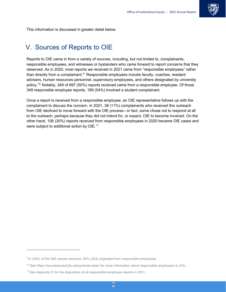

This information is discussed in greater detail below.

### <span id="page-8-0"></span>V. Sources of Reports to OIE

Reports to OIE came in from a variety of sources, including, but not limited to, complainants, responsible employees, and witnesses or bystanders who came forward to report concerns that they observed. As in 2020, most reports we received in 2021 came from "responsible employees" rather than directly from a complainant. $9$  Responsible employees include faculty, coaches, resident advisers, human resources personnel, supervisory employees, and others designated by university policy.[10](#page-8-2) Notably, 349 of 697 (50%) reports received came from a responsible employee. Of those 349 responsible employee reports, 189 (54%) involved a student complainant.

Once a report is received from a responsible employee, an OIE representative follows up with the complainant to discuss the concern. In 2021, 38 (11%) complainants who received this outreach from OIE declined to move forward with the OIE process—in fact, some chose not to respond at all to the outreach, perhaps because they did not intend for, or expect, OIE to become involved. On the other hand, 106 (30%) reports received from responsible employees in 2020 became OIE cases and were subject to additional action by OIE.<sup>[11](#page-8-3)</sup>

<span id="page-8-1"></span><sup>9</sup> In 2020, of the 593 reports received, 54% (323) originated from responsible employees.

<span id="page-8-2"></span><sup>10</sup> Se[e https://sexualassault.jhu.edu/policies-laws/](https://sexualmisconduct.jhu.edu/policies-laws/) for more information about responsible employees at JHU.

<span id="page-8-3"></span><sup>&</sup>lt;sup>11</sup> See Appendix D for the disposition of all responsible employee reports in 2021.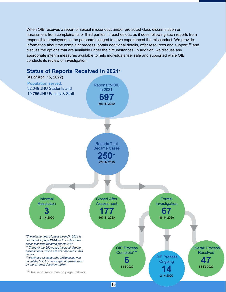When OIE receives a report of sexual misconduct and/or protected-class discrimination or harassment from complainants or third parties, it reaches out, as it does following such reports from responsible employees, to the person(s) alleged to have experienced the misconduct. We provide information about the complaint process, obtain additional details, offer resources and support,<sup>[12](#page-9-1)</sup> and discuss the options that are available under the circumstances. In addition, we discuss any appropriate interim measures available to help individuals feel safe and supported while OIE conducts its review or investigation.

<span id="page-9-0"></span>

#### <span id="page-9-1"></span>10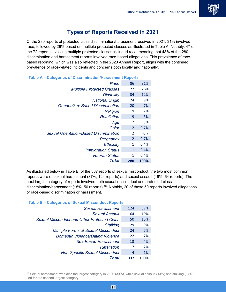

### **Types of Reports Received in 2021**

<span id="page-10-0"></span>Of the 280 reports of protected-class discrimination/harassment received in 2021, 31% involved race, followed by 26% based on multiple protected classes as illustrated in Table A. Notably, 47 of the 72 reports involving multiple protected classes included race, meaning that 48% of the 280 discrimination and harassment reports involved race-based allegations. This prevalence of racebased reporting, which was also reflected in the 2020 Annual Report, aligns with the continued prevalence of race-related incidents and concerns both locally and nationally.

| Race                                           | 86             | 31%  |  |  |  |
|------------------------------------------------|----------------|------|--|--|--|
| <b>Multiple Protected Classes</b>              | 72             | 26%  |  |  |  |
| <b>Disability</b>                              | 34             | 12%  |  |  |  |
| <b>National Origin</b>                         | 24             | 9%   |  |  |  |
| <b>Gender/Sex-Based Discrimination</b>         | 20             | 7%   |  |  |  |
| <b>Religion</b>                                | 19             | 7%   |  |  |  |
| Retaliation                                    | 9              | 3%   |  |  |  |
| Age                                            | 7              | 3%   |  |  |  |
| Color                                          | 2              | 0.7% |  |  |  |
| <b>Sexual Orientation-Based Discrimination</b> | 2              | 0.7  |  |  |  |
| Pregnancy                                      | $\overline{2}$ | 0.7% |  |  |  |
| <b>Ethnicity</b>                               | 1              | 0.4% |  |  |  |
| <b>Immigration Status</b>                      | 1              | 0.4% |  |  |  |
| <b>Veteran Status</b>                          | 1              | 0.4% |  |  |  |
| Total                                          | 280            | 100% |  |  |  |

**Table A – Categories of Discrimination/Harassment Reports**

As illustrated below in Table B, of the 337 reports of sexual misconduct, the two most common reports were of sexual harassment (37%, 124 reports) and sexual assault (19%, 64 reports). The next largest category of reports involved both sexual misconduct and protected-class discrimination/harassment (15%, 50 reports).<sup>[13](#page-10-1)</sup> Notably, 20 of these 50 reports involved allegations of race-based discrimination or harassment.

**Table B – Categories of Sexual Misconduct Reports**

| <b>Sexual Harassment</b>                           | 124 | 37%  |
|----------------------------------------------------|-----|------|
| <b>Sexual Assault</b>                              | 64  | 19%  |
| <b>Sexual Misconduct and Other Protected Class</b> | 50  | 15%  |
| <b>Stalking</b>                                    | 29  | 9%   |
| <b>Multiple Forms of Sexual Misconduct</b>         | 24  | 7%   |
| <b>Domestic Violence/Dating Violence</b>           | 22  | 7%   |
| <b>Sex-Based Harassment</b>                        | 13  | 4%   |
| Retaliation                                        | 7   | 2%   |
| <b>Non-Specific Sexual Misconduct</b>              | 4   | 1%   |
| Total                                              | 337 | 100% |

<span id="page-10-1"></span><sup>&</sup>lt;sup>13</sup> Sexual harassment was also the largest category in 2020 (39%), while sexual assault (14%) and stalking (14%) tied for the second largest category.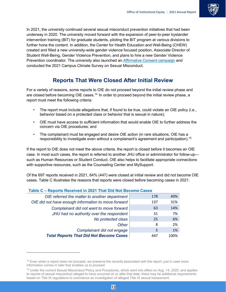

In 2021, the university continued several sexual misconduct prevention initiatives that had been underway in 2020. The university moved forward with the expansion of peer-to-peer bystander intervention training (BIT) for graduate students, piloting the BIT program at various divisions to further hone the content. In addition, the Center for Health Education and Well-Being (CHEW) created and filled a new university-wide gender violence focused position, Associate Director of Student Well-Being, Gender Violence Prevention, and plans to hire a new Gender Violence Prevention coordinator. The university also launched an [Affirmative Consent campaign](https://studentaffairs.jhu.edu/chew/gender-violence-prevention/consent/) and conducted the 2021 Campus Climate Survey on Sexual Misconduct.

### **Reports That Were Closed After Initial Review**

<span id="page-11-0"></span>For a variety of reasons, some reports to OIE do not proceed beyond the initial review phase and are closed before becoming OIE cases.<sup>[14](#page-11-1)</sup> In order to proceed beyond the initial review phase, a report must meet the following criteria:

- The report must include allegations that, if found to be true, could violate an OIE policy (i.e., behavior based on a protected class or behavior that is sexual in nature);
- OIE must have access to sufficient information that would enable OIE to further address the concern via OIE procedures; and
- The complainant must be engaged and desire OIE action (in rare situations, OIE has a responsibility to investigate even without a complainant's agreement and participation).<sup>[15](#page-11-2)</sup>

If the report to OIE does not meet the above criteria, the report is closed before it becomes an OIE case. In most such cases, the report is referred to another JHU office or administrator for follow-up such as Human Resources or Student Conduct. OIE also helps to facilitate appropriate connections with supportive resources, such as the Counseling Center and MySupport.

Of the 697 reports received in 2021, 64% (447) were closed at initial review and did not become OIE cases. Table C illustrates the reasons that reports were closed before becoming cases in 2021.

| adio o – rodoro rodorod III zvz i Tilat Dia Not Doublilo Oddoj |     |      |
|----------------------------------------------------------------|-----|------|
| OIE referred the matter to another department                  | 178 | 40%  |
| OIE did not have enough information to move forward            | 137 | 31%  |
| Complainant did not want to move forward                       | 63  | 14%  |
| JHU had no authority over the respondent                       | 31  | 7%   |
| No protected class                                             | 25  | 6%   |
| <b>Other</b>                                                   | 8   | 2%   |
| Complainant did not engage                                     | 5   | 1%   |
| <b>Total Reports That Did Not Become Cases</b>                 | 447 | 100% |

#### **Table C – Reports Received in 2021 That Did Not Become Cases**

<span id="page-11-1"></span><sup>&</sup>lt;sup>14</sup> Even when a report does not proceed, we preserve the records associated with the report, just in case more information comes in later that enables us to proceed.

<span id="page-11-2"></span><sup>&</sup>lt;sup>15</sup> Under the current Sexual Misconduct Policy and Procedures, which went into effect on Aug. 14, 2020, and applies to reports of sexual misconduct alleged to have occurred on or after that date, there may be additional requirements based on Title IX regulations to commence an investigation of alleged Title IX sexual harassment.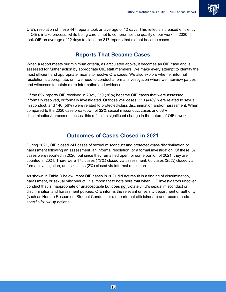

OIE's resolution of these 447 reports took an average of 12 days. This reflects increased efficiency in OIE's intake process, while being careful not to compromise the quality of our work; in 2020, it took OIE an average of 22 days to close the 317 reports that did not become cases.

#### **Reports That Became Cases**

<span id="page-12-0"></span>When a report meets our minimum criteria, as articulated above, it becomes an OIE case and is assessed for further action by appropriate OIE staff members. We make every attempt to identify the most efficient and appropriate means to resolve OIE cases. We also explore whether informal resolution is appropriate, or if we need to conduct a formal investigation where we interview parties and witnesses to obtain more information and evidence.

Of the 697 reports OIE received in 2021, 250 (36%) became OIE cases that were assessed, informally resolved, or formally investigated. Of those 250 cases, 110 (44%) were related to sexual misconduct, and 140 (56%) were related to protected-class discrimination and/or harassment. When compared to the 2020 case breakdown of 32% sexual misconduct cases and 68% discrimination/harassment cases, this reflects a significant change in the nature of OIE's work.

### **Outcomes of Cases Closed in 2021**

<span id="page-12-1"></span>During 2021, OIE closed 241 cases of sexual misconduct and protected-class discrimination or harassment following an assessment, an informal resolution, or a formal investigation. Of these, 37 cases were reported in 2020, but since they remained open for some portion of 2021, they are counted in 2021. There were 175 cases (73%) closed via assessment, 60 cases (25%) closed via formal investigation, and six cases (2%) closed via informal resolution.

As shown in Table D below, most OIE cases in 2021 did *not* result in a finding of discrimination, harassment, or sexual misconduct. It is important to note here that when OIE investigators uncover conduct that is inappropriate or unacceptable but does not violate JHU's sexual misconduct or discrimination and harassment policies, OIE informs the relevant university department or authority (such as Human Resources, Student Conduct, or a department official/dean) and recommends specific follow-up actions.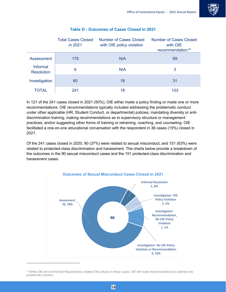

|                               | <b>Total Cases Closed</b><br>in 2021 | Number of Cases Closed<br>with OIE policy violation | <b>Number of Cases Closed</b><br>with OIE<br>recommendation <sup>16</sup> |
|-------------------------------|--------------------------------------|-----------------------------------------------------|---------------------------------------------------------------------------|
| Assessment                    | 175                                  | N/A                                                 | 69                                                                        |
| Informal<br><b>Resolution</b> | 6                                    | N/A                                                 | 3                                                                         |
| Investigation                 | 60                                   | 18                                                  | 31                                                                        |
| TOTAL                         | 241                                  | 18                                                  | 103                                                                       |

#### **Table D - Outcomes of Cases Closed in 2021**

In 121 of the 241 cases closed in 2021 (50%), OIE either made a policy finding or made one or more recommendations. OIE recommendations typically included addressing the problematic conduct under other applicable (HR, Student Conduct, or departmental) policies, mandating diversity or antidiscrimination training, making recommendations as to supervisory structure or management practices, and/or suggesting other forms of training or retraining, coaching, and counseling. OIE facilitated a one-on-one educational conversation with the respondent in 36 cases (15%) closed in 2021.

Of the 241 cases closed in 2020, 90 (37%) were related to sexual misconduct, and 151 (63%) were related to protected-class discrimination and harassment. The charts below provide a breakdown of the outcomes in the 90 sexual misconduct cases and the 151 protected-class discrimination and harassment cases.



<span id="page-13-0"></span><sup>&</sup>lt;sup>16</sup> While OIE did not find that Respondents violated OIE policies in these cases, OIE still made recommendations to address the problematic conduct.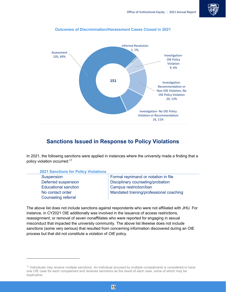



#### **Outcomes of Discrimination/Harassment Cases Closed in 2021**

#### **Sanctions Issued in Response to Policy Violations**

<span id="page-14-0"></span>In 2021, the following sanctions were applied in instances where the university made a finding that a policy violation occurred[:17](#page-14-1)

|                                                             | <b>2021 Sanctions for Policy Violations</b> |                                      |
|-------------------------------------------------------------|---------------------------------------------|--------------------------------------|
|                                                             | Suspension                                  | Formal reprimand or notation in file |
| Disciplinary counseling/probation<br>Deferred suspension    |                                             |                                      |
| Campus restriction/ban<br><b>Educational sanction</b>       |                                             |                                      |
| Mandated training/professional coaching<br>No contact order |                                             |                                      |
| <b>Counseling referral</b>                                  |                                             |                                      |

The above list does not include sanctions against respondents who were not affiliated with JHU. For instance, in CY2021 OIE additionally was involved in the issuance of access restrictions, reassignment, or removal of seven nonaffiliates who were reported for engaging in sexual misconduct that impacted the university community. The above list likewise does not include sanctions (some very serious) that resulted from concerning information discovered during an OIE process but that did not constitute a violation of *OIE* policy.

<span id="page-14-1"></span><sup>&</sup>lt;sup>17</sup> Individuals may receive multiple sanctions. An individual accused by multiple complainants is considered to have one OIE case for each complainant and receives sanctions as the result of each case, some of which may be duplicative.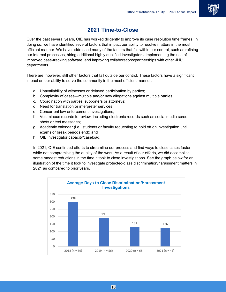### **2021 Time-to-Close**

<span id="page-15-0"></span>Over the past several years, OIE has worked diligently to improve its case resolution time frames. In doing so, we have identified several factors that impact our ability to resolve matters in the most efficient manner. We have addressed many of the factors that fall within our control, such as refining our internal processes, hiring additional highly qualified investigators, implementing the use of improved case-tracking software, and improving collaborations/partnerships with other JHU departments.

There are, however, still other factors that fall outside our control. These factors have a significant impact on our ability to serve the community in the most efficient manner:

- a. Unavailability of witnesses or delayed participation by parties;
- b. Complexity of cases—multiple and/or new allegations against multiple parties;
- c. Coordination with parties' supporters or attorneys;
- d. Need for translation or interpreter services;
- e. Concurrent law enforcement investigations;
- f. Voluminous records to review, including electronic records such as social media screen shots or text messages;
- g. Academic calendar (i.e., students or faculty requesting to hold off on investigation until exams or break periods end); and
- h. OIE investigator capacity/caseload.

In 2021, OIE continued efforts to streamline our process and find ways to close cases faster, while not compromising the quality of the work. As a result of our efforts, we did accomplish some modest reductions in the time it took to close investigations. See the graph below for an illustration of the time it took to investigate protected-class discrimination/harassment matters in 2021 as compared to prior years.

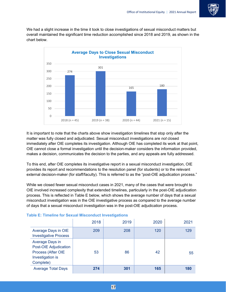

We had a slight increase in the time it took to close investigations of sexual misconduct matters but overall maintained the significant time reduction accomplished since 2018 and 2019, as shown in the chart below.



It is important to note that the charts above show investigation timelines that stop only after the matter was fully closed and adjudicated. Sexual misconduct investigations are *not* closed immediately after OIE completes its investigation. Although OIE has completed its work at that point, OIE cannot close a formal investigation until the decision-maker considers the information provided, makes a decision, communicates the decision to the parties, and any appeals are fully addressed.

To this end, after OIE completes its investigative report in a sexual misconduct investigation, OIE provides its report and recommendations to the resolution panel (for students) or to the relevant external decision-maker (for staff/faculty). This is referred to as the "post-OIE adjudication process."

While we closed fewer sexual misconduct cases in 2021, many of the cases that were brought to OIE involved increased complexity that extended timelines, particularly in the post-OIE adjudication process. This is reflected in Table E below, which shows the average number of days that a sexual misconduct investigation was in the OIE investigative process as compared to the average number of days that a sexual misconduct investigation was in the post-OIE adjudication process.

|                                                                                                        | 2018 | 2019 | 2020 | 2021 |
|--------------------------------------------------------------------------------------------------------|------|------|------|------|
| Average Days in OIE<br><b>Investigative Process</b>                                                    | 209  | 208  | 120  | 129  |
| Average Days in<br><b>Post-OIE Adjudication</b><br>Process (After OIE<br>Investigation is<br>Complete) | 53   | 86   | 42   | 55   |
| <b>Average Total Days</b>                                                                              | 274  | 301  | 165  | 180  |

#### **Table E: Timeline for Sexual Misconduct Investigations**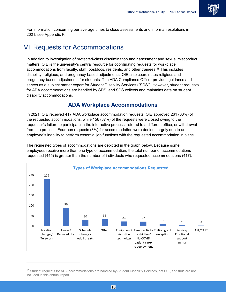

For information concerning our average times to close assessments and informal resolutions in 2021, see Appendix F.

### <span id="page-17-0"></span>VI. Requests for Accommodations

In addition to investigation of protected-class discrimination and harassment and sexual misconduct matters, OIE is the university's central resource for coordinating requests for workplace accommodations from faculty, staff, postdocs, residents, and other trainees[.18](#page-17-2) This includes disability, religious, and pregnancy-based adjustments. OIE also coordinates religious and pregnancy-based adjustments for students. The ADA Compliance Officer provides guidance and serves as a subject matter expert for Student Disability Services ("SDS"). However, student requests for ADA accommodations are handled by SDS, and SDS collects and maintains data on student disability accommodations.

### **ADA Workplace Accommodations**

<span id="page-17-1"></span>In 2021, OIE received 417 ADA workplace accommodation requests. OIE approved 261 (63%) of the requested accommodations, while 156 (37%) of the requests were closed owing to the requester's failure to participate in the interactive process, referral to a different office, or withdrawal from the process. Fourteen requests (3%) for accommodation were denied, largely due to an employee's inability to perform essential job functions with the requested accommodation in place.

The requested types of accommodations are depicted in the graph below. Because some employees receive more than one type of accommodation, the total number of accommodations requested (445) is greater than the number of individuals who requested accommodations (417).



<span id="page-17-2"></span><sup>&</sup>lt;sup>18</sup> Student requests for ADA accommodations are handled by Student Disability Services, not OIE, and thus are not included in this annual report.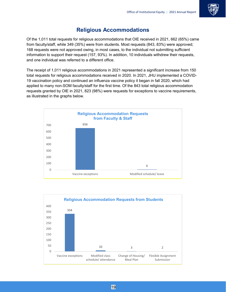

### **Religious Accommodations**

<span id="page-18-0"></span>Of the 1,011 total requests for religious accommodations that OIE received in 2021, 662 (65%) came from faculty/staff, while 349 (35%) were from students. Most requests (843, 83%) were approved; 168 requests were not approved owing, in most cases, to the individual not submitting sufficient information to support their request (157, 93%). In addition, 10 individuals withdrew their requests, and one individual was referred to a different office.

The receipt of 1,011 religious accommodations in 2021 represented a significant increase from 150 total requests for religious accommodations received in 2020. In 2021, JHU implemented a COVID-19 vaccination policy and continued an influenza vaccine policy it began in fall 2020, which had applied to many non-SOM faculty/staff for the first time. Of the 843 total religious accommodation requests granted by OIE in 2021, 823 (98%) were requests for exceptions to vaccine requirements, as illustrated in the graphs below.



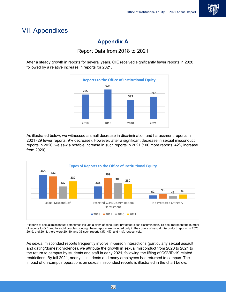

### <span id="page-19-1"></span><span id="page-19-0"></span>VII. Appendixes

### **Appendix A**

### Report Data from 2018 to 2021

<span id="page-19-2"></span>After a steady growth in reports for several years, OIE received significantly fewer reports in 2020 followed by a relative increase in reports for 2021.



As illustrated below, we witnessed a small decrease in discrimination and harassment reports in 2021 (29 fewer reports; 9% decrease). However, after a significant decrease in sexual misconduct reports in 2020, we saw a notable increase in such reports in 2021 (100 more reports; 42% increase from 2020).



\*Reports of sexual misconduct sometimes include a claim of concurrent protected-class discrimination. To best represent the number of reports to OIE and to avoid double-counting, these reports are included only in the counts of sexual misconduct reports. In 2020, 2019, and 2018, there were 20, 40, and 33 such reports (3%, 4%, and 4%), respectively.

As sexual misconduct reports frequently involve in-person interactions (particularly sexual assault and dating/domestic violence), we attribute the growth in sexual misconduct from 2020 to 2021 to the return to campus by students and staff in early 2021, following the lifting of COVID-19 related restrictions. By fall 2021, nearly all students and many employees had returned to campus. The impact of on-campus operations on sexual misconduct reports is illustrated in the chart below.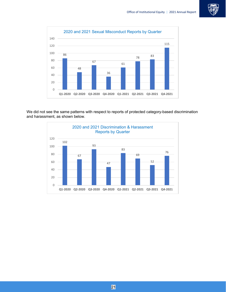



We did not see the same patterns with respect to reports of protected category-based discrimination and harassment, as shown below.

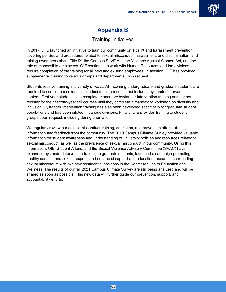

### **Appendix B**

### Training Initiatives

<span id="page-21-1"></span><span id="page-21-0"></span>In 2017, JHU launched an initiative to train our community on Title IX and harassment prevention, covering policies and procedures related to sexual misconduct, harassment, and discrimination, and raising awareness about Title IX, the Campus SaVE Act, the Violence Against Women Act, and the role of responsible employees. OIE continues to work with Human Resources and the divisions to require completion of the training for all new and existing employees. In addition, OIE has provided supplemental training to various groups and departments upon request.

Students receive training in a variety of ways. All incoming undergraduate and graduate students are required to complete a sexual misconduct training module that includes bystander intervention content. First-year students also complete mandatory bystander intervention training and cannot register for their second-year fall courses until they complete a mandatory workshop on diversity and inclusion. Bystander intervention training has also been developed specifically for graduate student populations and has been piloted in various divisions. Finally, OIE provides training to student groups upon request, including during orientation.

We regularly review our sexual misconduct training, education, and prevention efforts utilizing information and feedback from the community. The 2019 Campus Climate Survey provided valuable information on student awareness and understanding of university policies and resources related to sexual misconduct, as well as the prevalence of sexual misconduct in our community. Using this information, OIE, Student Affairs, and the Sexual Violence Advisory Committee (SVAC) have expanded bystander intervention training to graduate students, launched a campaign promoting healthy consent and sexual respect, and enhanced support and education resources surrounding sexual misconduct with two new confidential positions in the Center for Health Education and Wellness. The results of our fall 2021 Campus Climate Survey are still being analyzed and will be shared as soon as possible. This new data will further guide our prevention, support, and accountability efforts.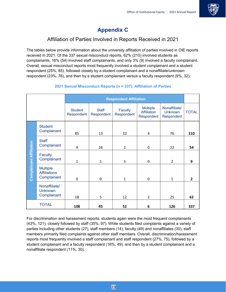

### **Appendix C**

### Affiliation of Parties Involved in Reports Received in 2021

<span id="page-22-1"></span><span id="page-22-0"></span>The tables below provide information about the university affiliation of parties involved in OIE reports received in 2021. Of the 337 sexual misconduct reports, 62% (210) involved students as complainants, 16% (54) involved staff complainants, and only 3% (9) involved a faculty complainant. Overall, sexual misconduct reports most frequently involved a student complainant and a student respondent (25%, 85), followed closely by a student complainant and a nonaffiliate/unknown respondent (23%, 76), and then by a student complainant versus a faculty respondent (9%, 32).

|                                |                                                       |                              | <b>Respondent Affiliation</b> |                       |                                                     |                                               |                |
|--------------------------------|-------------------------------------------------------|------------------------------|-------------------------------|-----------------------|-----------------------------------------------------|-----------------------------------------------|----------------|
|                                |                                                       | <b>Student</b><br>Respondent | <b>Staff</b><br>Respondent    | Faculty<br>Respondent | <b>Multiple</b><br><b>Affiliation</b><br>Respondent | Nonaffiliate/<br><b>Unknown</b><br>Respondent | <b>TOTAL</b>   |
| <b>Complainant Affiliation</b> | <b>Student</b><br>Complainant                         | 85                           | 13                            | 32                    | $\overline{4}$                                      | 76                                            | 210            |
|                                | <b>Staff</b><br>Complainant                           | 4                            | 26                            | $\overline{2}$        | 0                                                   | 22                                            | 54             |
|                                | <b>Faculty</b><br>Complainant                         | $\mathbf{1}$                 | 1                             | 5                     | $\mathbf 0$                                         | $\overline{2}$                                | 9              |
|                                | <b>Multiple</b><br><b>Affiliations</b><br>Complainant | 0                            | 0                             | $\mathbf{1}$          | $\mathbf 0$                                         | $\mathbf{1}$                                  | $\overline{2}$ |
|                                | Nonaffiliate/<br><b>Unknown</b><br>Complainant        | 18                           | 5                             | 12                    | $\overline{2}$                                      | 25                                            | 62             |
|                                | <b>TOTAL</b>                                          | 108                          | 45                            | 52                    | 6                                                   | 126                                           | 337            |

#### **2021 Sexual Misconduct Reports (n = 337): Affiliation of Parties**

For discrimination and harassment reports, students again were the most frequent complainants (43%, 121), closely followed by staff (35%, 97). While students filed complaints against a variety of parties including other students (27), staff members (14), faculty (49) and nonaffiliates (30), staff members primarily filed complaints against other staff members. Overall, discrimination/harassment reports most frequently involved a staff complainant and staff respondent (27%, 75), followed by a student complainant and a faculty respondent (18%, 49), and then by a student complainant and a nonaffiliate respondent (11%, 30).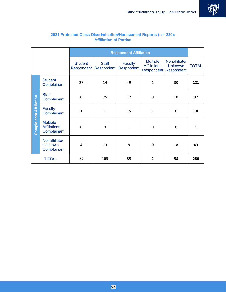

|                                |                                                       |                                     |                            | <b>Respondent Affiliation</b> |                                                      |                                               |              |
|--------------------------------|-------------------------------------------------------|-------------------------------------|----------------------------|-------------------------------|------------------------------------------------------|-----------------------------------------------|--------------|
|                                |                                                       | <b>Student</b><br><b>Respondent</b> | <b>Staff</b><br>Respondent | Faculty<br>Respondent         | <b>Multiple</b><br><b>Affiliations</b><br>Respondent | Nonaffiliate/<br><b>Unknown</b><br>Respondent | <b>TOTAL</b> |
| <b>Complainant Affiliation</b> | <b>Student</b><br>Complainant                         | 27                                  | 14                         | 49                            | $\mathbf{1}$                                         | 30                                            | 121          |
|                                | <b>Staff</b><br>Complainant                           | $\mathbf 0$                         | 75                         | 12                            | 0                                                    | 10                                            | 97           |
|                                | <b>Faculty</b><br>Complainant                         | $\mathbf{1}$                        | 1                          | 15                            | $\mathbf{1}$                                         | $\mathbf 0$                                   | 18           |
|                                | <b>Multiple</b><br><b>Affiliations</b><br>Complainant | $\boldsymbol{0}$                    | 0                          | $\mathbf{1}$                  | 0                                                    | 0                                             | 1            |
|                                | Nonaffiliate/<br><b>Unknown</b><br>Complainant        | 4                                   | 13                         | 8                             | 0                                                    | 18                                            | 43           |
|                                | <b>TOTAL</b>                                          | 32                                  | 103                        | 85                            | $\overline{2}$                                       | 58                                            | 280          |

#### **2021 Protected-Class Discrimination/Harassment Reports (n = 280): Affiliation of Parties**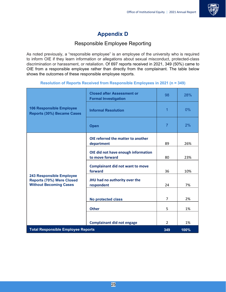

### **Appendix D**

### Responsible Employee Reporting

<span id="page-24-1"></span><span id="page-24-0"></span>As noted previously, a "responsible employee" is an employee of the university who is required to inform OIE if they learn information or allegations about sexual misconduct, protected-class discrimination or harassment, or retaliation. Of 697 reports received in 2021, 349 (50%) came to OIE from a responsible employee rather than directly from the complainant. The table below shows the outcomes of these responsible employee reports.

#### **Resolution of Reports Received from Responsible Employees in 2021 (n = 349)**

|                                                                                               | <b>Closed after Assessment or</b><br><b>Formal Investigation</b> | 98             | 28%  |
|-----------------------------------------------------------------------------------------------|------------------------------------------------------------------|----------------|------|
| <b>106 Responsible Employee</b><br><b>Reports (30%) Became Cases</b>                          | <b>Informal Resolution</b>                                       | 1              | 0%   |
| <b>Open</b>                                                                                   |                                                                  | $\overline{7}$ | 2%   |
|                                                                                               | OIE referred the matter to another                               |                |      |
|                                                                                               | department                                                       | 89             | 26%  |
|                                                                                               | OIE did not have enough information<br>to move forward           | 80             | 23%  |
|                                                                                               | <b>Complainant did not want to move</b><br>forward               | 36             | 10%  |
| <b>243 Responsible Employee</b><br>Reports (70%) Were Closed<br><b>Without Becoming Cases</b> | JHU had no authority over the<br>respondent                      | 24             | 7%   |
|                                                                                               | <b>No protected class</b>                                        | $\overline{7}$ | 2%   |
|                                                                                               | <b>Other</b>                                                     | 5              | 1%   |
|                                                                                               | <b>Complainant did not engage</b>                                | $\overline{2}$ | 1%   |
| <b>Total Responsible Employee Reports</b>                                                     |                                                                  | 349            | 100% |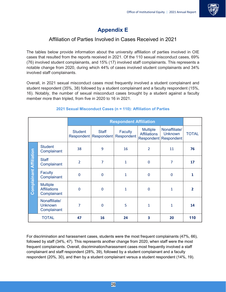

### **Appendix E**

### Affiliation of Parties Involved in Cases Received in 2021

<span id="page-25-1"></span><span id="page-25-0"></span>The tables below provide information about the university affiliation of parties involved in OIE cases that resulted from the reports received in 2021. Of the 110 sexual misconduct cases, 69% (76) involved student complainants, and 15% (17) involved staff complainants. This represents a notable change from 2020, during which 44% of cases involved student complainants and 34% involved staff complainants.

Overall, in 2021 sexual misconduct cases most frequently involved a student complainant and student respondent (35%, 38) followed by a student complainant and a faculty respondent (15%, 16). Notably, the number of sexual misconduct cases brought by a student against a faculty member more than tripled, from five in 2020 to 16 in 2021.

|                                |                                                       | <b>Respondent Affiliation</b> |                                         |                              |                                        |                                                          |                |
|--------------------------------|-------------------------------------------------------|-------------------------------|-----------------------------------------|------------------------------|----------------------------------------|----------------------------------------------------------|----------------|
|                                |                                                       | <b>Student</b>                | <b>Staff</b><br>Respondent   Respondent | <b>Faculty</b><br>Respondent | <b>Multiple</b><br><b>Affiliations</b> | Nonaffiliate/<br><b>Unknown</b><br>Respondent Respondent | <b>TOTAL</b>   |
|                                | <b>Student</b><br>Complainant                         | 38                            | 9                                       | 16                           | $\overline{2}$                         | 11                                                       | 76             |
| <b>Complainant Affiliation</b> | <b>Staff</b><br>Complainant                           | $\overline{2}$                | $\overline{7}$                          | $\mathbf{1}$                 | $\mathbf 0$                            | $\overline{7}$                                           | 17             |
|                                | Faculty<br>Complainant                                | $\mathbf 0$                   | $\mathbf 0$                             | $\mathbf{1}$                 | $\mathbf 0$                            | $\mathbf 0$                                              | 1              |
|                                | <b>Multiple</b><br><b>Affiliations</b><br>Complainant | $\mathbf 0$                   | 0                                       | $\mathbf{1}$                 | $\mathbf 0$                            | 1                                                        | $\overline{2}$ |
|                                | Nonaffiliate/<br><b>Unknown</b><br>Complainant        | 7                             | $\Omega$                                | 5                            | $\mathbf{1}$                           | $\mathbf{1}$                                             | 14             |
|                                | <b>TOTAL</b>                                          | 47                            | 16                                      | 24                           | 3                                      | 20                                                       | 110            |

#### **2021 Sexual Misconduct Cases (n = 110): Affiliation of Parties**

For discrimination and harassment cases, students were the most frequent complainants (47%, 66), followed by staff (34%, 47). This represents another change from 2020, when staff were the most frequent complainants. Overall, discrimination/harassment cases most frequently involved a staff complainant and staff respondent (28%, 39), followed by a student complainant and a faculty respondent (20%, 30), and then by a student complainant versus a student respondent (14%, 19).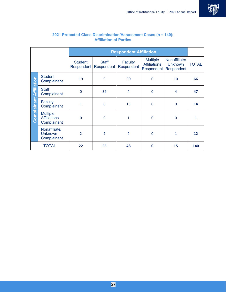

|                                |                                                       |                              |                            | <b>Respondent Affiliation</b> |                                                             |                                               |                   |
|--------------------------------|-------------------------------------------------------|------------------------------|----------------------------|-------------------------------|-------------------------------------------------------------|-----------------------------------------------|-------------------|
|                                |                                                       | <b>Student</b><br>Respondent | <b>Staff</b><br>Respondent | Faculty<br>Respondent         | <b>Multiple</b><br><b>Affiliations</b><br><b>Respondent</b> | Nonaffiliate/<br><b>Unknown</b><br>Respondent | <b>TOTAL</b>      |
|                                | <b>Student</b><br>Complainant                         | 19                           | 9                          | 30                            | $\mathbf 0$                                                 | 10                                            | 66                |
| <b>Complainant Affiliation</b> | <b>Staff</b><br>Complainant                           | $\mathbf 0$                  | 39                         | $\overline{4}$                | $\mathbf 0$                                                 | $\overline{4}$                                | 47                |
|                                | <b>Faculty</b><br>Complainant                         | $\mathbf{1}$                 | $\mathbf 0$                | 13                            | $\mathbf 0$                                                 | 0                                             | 14                |
|                                | <b>Multiple</b><br><b>Affiliations</b><br>Complainant | $\mathbf 0$                  | $\mathbf 0$                | 1                             | $\mathbf 0$                                                 | $\mathbf 0$                                   | 1                 |
|                                | Nonaffiliate/<br><b>Unknown</b><br>Complainant        | $\overline{2}$               | 7                          | $\overline{2}$                | $\mathbf 0$                                                 | $\mathbf{1}$                                  | $12 \overline{ }$ |
|                                | <b>TOTAL</b>                                          | 22                           | 55                         | 48                            | $\mathbf 0$                                                 | 15                                            | 140               |

#### **2021 Protected-Class Discrimination/Harassment Cases (n = 140): Affiliation of Parties**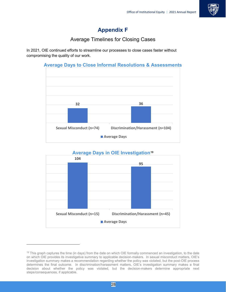

### **Appendix F**

### Average Timelines for Closing Cases

<span id="page-27-1"></span><span id="page-27-0"></span>In 2021, OIE continued efforts to streamline our processes to close cases faster without compromising the quality of our work.



### **Average Days in OIE Investigation[19](#page-27-2)**



<span id="page-27-2"></span><sup>&</sup>lt;sup>19</sup> This graph captures the time (in days) from the date on which OIE formally commenced an investigation, to the date on which OIE provides its investigative summary to applicable decision-makers. In sexual misconduct matters, OIE's investigation summary makes a recommendation regarding whether the policy was violated, but the post-OIE process determines the final outcome. In discrimination/harassment matters, OIE's investigation summary makes a final decision about whether the policy was violated, but the decision-makers determine appropriate next steps/consequences, if applicable.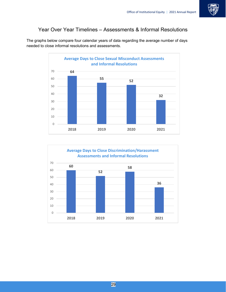

### <span id="page-28-0"></span>Year Over Year Timelines – Assessments & Informal Resolutions

The graphs below compare four calendar years of data regarding the average number of days needed to close informal resolutions and assessments.



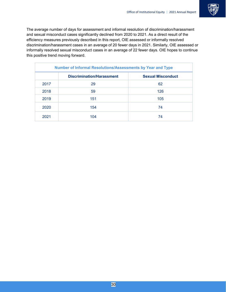

The average number of days for assessment and informal resolution of discrimination/harassment and sexual misconduct cases significantly declined from 2020 to 2021. As a direct result of the efficiency measures previously described in this report, OIE assessed or informally resolved discrimination/harassment cases in an average of 20 fewer days in 2021. Similarly, OIE assessed or informally resolved sexual misconduct cases in an average of 22 fewer days. OIE hopes to continue this positive trend moving forward.

| <b>Number of Informal Resolutions/Assessments by Year and Type</b> |                                  |                          |  |  |
|--------------------------------------------------------------------|----------------------------------|--------------------------|--|--|
|                                                                    | <b>Discrimination/Harassment</b> | <b>Sexual Misconduct</b> |  |  |
| 2017                                                               | 29                               | 62                       |  |  |
| 2018                                                               | 59                               | 126                      |  |  |
| 2019                                                               | 151                              | 105                      |  |  |
| 2020                                                               | 154                              | 74                       |  |  |
| 2021                                                               | 104                              | 74                       |  |  |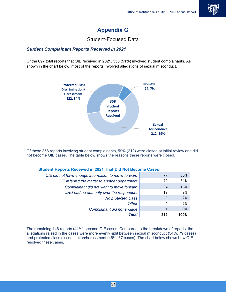

### **Appendix G**

#### Student-Focused Data

#### <span id="page-30-1"></span><span id="page-30-0"></span>*Student Complainant Reports Received in 2021*

Of the 697 total reports that OIE received in 2021, 358 (51%) involved student complainants. As shown in the chart below, most of the reports involved allegations of sexual misconduct.



Of these 358 reports involving student complainants, 59% (212) were closed at initial review and did not become OIE cases. The table below shows the reasons these reports were closed.

| OIE did not have enough information to move forward | 77  | 36%  |
|-----------------------------------------------------|-----|------|
| OIE referred the matter to another department       | 72  | 34%  |
| Complainant did not want to move forward            | 34  | 16%  |
| JHU had no authority over the respondent            | 19  | 9%   |
| No protected class                                  | 5   | 2%   |
| <b>Other</b>                                        | 4   | 2%   |
| Complainant did not engage                          | 1   | 0%   |
| <b>Total</b>                                        | 212 | 100% |

#### **Student Reports Received in 2021 That Did Not Become Cases**

The remaining 146 reports (41%) became OIE cases. Compared to the breakdown of reports, the allegations raised in the cases were more evenly split between sexual misconduct (54%, 79 cases) and protected class discrimination/harassment (46%, 67 cases). The chart below shows how OIE resolved these cases.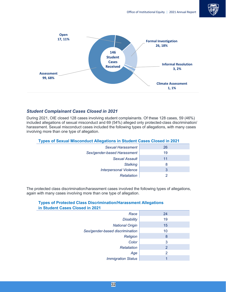



#### *Student Complainant Cases Closed in 2021*

During 2021, OIE closed 128 cases involving student complainants. Of these 128 cases, 59 (46%) included allegations of sexual misconduct and 69 (54%) alleged only protected-class discrimination/ harassment. Sexual misconduct cases included the following types of allegations, with many cases involving more than one type of allegation.

| <b>Types of Sexual Misconduct Allegations in Student Cases Closed in 2021</b> |    |  |  |  |
|-------------------------------------------------------------------------------|----|--|--|--|
| <b>Sexual Harassment</b>                                                      | 26 |  |  |  |
| Sex/gender-based Harassment                                                   | 19 |  |  |  |
| <b>Sexual Assault</b>                                                         | 11 |  |  |  |
| <b>Stalking</b>                                                               | 8  |  |  |  |
| <b>Interpersonal Violence</b>                                                 | 3  |  |  |  |
| Retaliation                                                                   |    |  |  |  |

The protected class discrimination/harassment cases involved the following types of allegations, again with many cases involving more than one type of allegation.

#### **Types of Protected Class Discrimination/Harassment Allegations in Student Cases Closed in 2021**

| Race                            | 24             |
|---------------------------------|----------------|
| <b>Disability</b>               | 19             |
| <b>National Origin</b>          | 15             |
| Sex/gender-based discrimination | 10             |
| Religion                        | 8              |
| Color                           | 3              |
| Retaliation                     | $\overline{2}$ |
| Age                             | 2              |
| <b>Immigration Status</b>       |                |